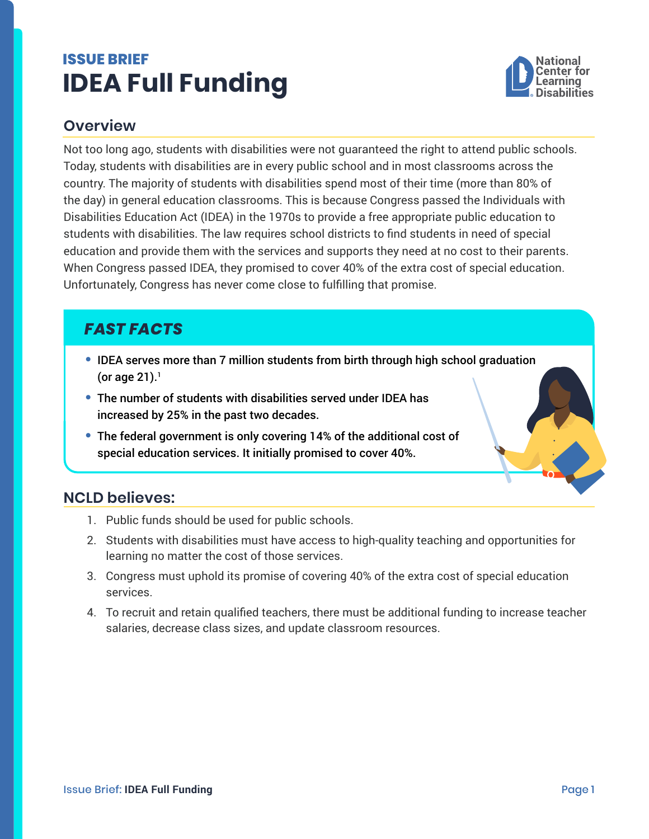# <span id="page-0-0"></span>**ISSUE BRIEF IDEA Full Funding**



#### **Overview**

Not too long ago, students with disabilities were not guaranteed the right to attend public schools. Today, students with disabilities are in every public school and in most classrooms across the country. The majority of students with disabilities spend most of their time (more than 80% of the day) in general education classrooms. This is because Congress passed the Individuals with Disabilities Education Act (IDEA) in the 1970s to provide a free appropriate public education to students with disabilities. The law requires school districts to find students in need of special education and provide them with the services and supports they need at no cost to their parents. When Congress passed IDEA, they promised to cover 40% of the extra cost of special education. Unfortunately, Congress has never come close to fulfilling that promise.

# *FAST FACTS*

- **•** IDEA serves more than 7 million students from birth through high school graduation (or age  $21$  $21$ ).<sup>1</sup>
- **•** The number of students with disabilities served under IDEA has increased by 25% in the past two decades.
- **•** The federal government is only covering 14% of the additional cost of special education services. It initially promised to cover 40%.

### **NCLD believes:**

- 1. Public funds should be used for public schools.
- 2. Students with disabilities must have access to high-quality teaching and opportunities for learning no matter the cost of those services.
- 3. Congress must uphold its promise of covering 40% of the extra cost of special education services.
- 4. To recruit and retain qualified teachers, there must be additional funding to increase teacher salaries, decrease class sizes, and update classroom resources.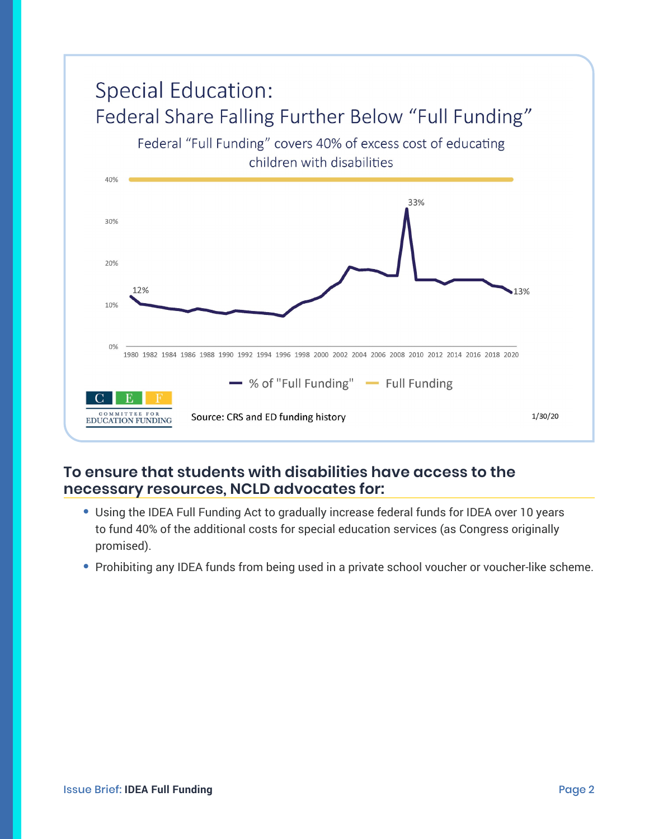

#### **To ensure that students with disabilities have access to the necessary resources, NCLD advocates for:**

- **•** Using the IDEA Full Funding Act to gradually increase federal funds for IDEA over 10 years to fund 40% of the additional costs for special education services (as Congress originally promised).
- Prohibiting any IDEA funds from being used in a private school voucher or voucher-like scheme.